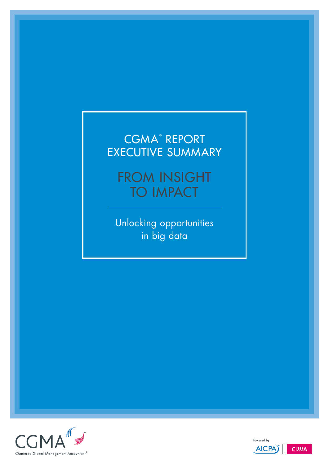## CGMA® REPORT EXECUTIVE SUMMARY

FROM INSIGHT **TO IMPACT** 

Unlocking opportunities in big data





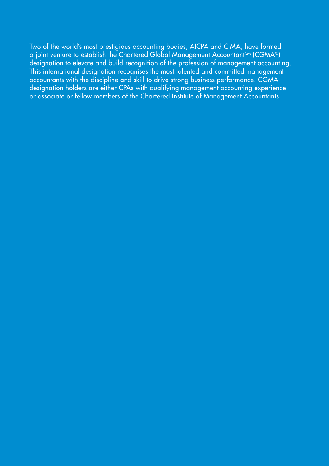Two of the world's most prestigious accounting bodies, AICPA and CIMA, have formed a joint venture to establish the Chartered Global Management Accountant<sup>SM</sup> (CGMA®) designation to elevate and build recognition of the profession of management accounting. This international designation recognises the most talented and committed management accountants with the discipline and skill to drive strong business performance. CGMA designation holders are either CPAs with qualifying management accounting experience or associate or fellow members of the Chartered Institute of Management Accountants.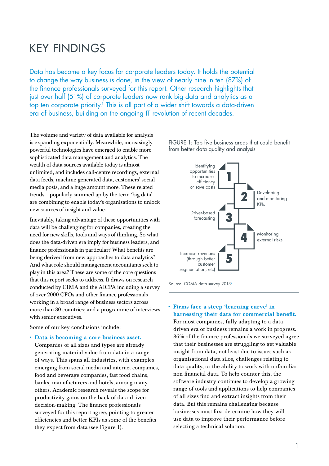## KEY FINDINGS

Data has become a key focus for corporate leaders today. It holds the potential to change the way business is done, in the view of nearly nine in ten (87%) of the finance professionals surveyed for this report. Other research highlights that just over half (51%) of corporate leaders now rank big data and analytics as a top ten corporate priority.<sup>1</sup> This is all part of a wider shift towards a data-driven era of business, building on the ongoing IT revolution of recent decades.

The volume and variety of data available for analysis is expanding exponentially. Meanwhile, increasingly powerful technologies have emerged to enable more sophisticated data management and analytics. The wealth of data sources available today is almost unlimited, and includes call-centre recordings, external data feeds, machine-generated data, customers' social media posts, and a huge amount more. These related trends – popularly summed up by the term 'big data' – are combining to enable today's organisations to unlock new sources of insight and value.

Inevitably, taking advantage of these opportunities with data will be challenging for companies, creating the need for new skills, tools and ways of thinking. So what does the data-driven era imply for business leaders, and finance professionals in particular? What benefits are being derived from new approaches to data analytics? And what role should management accountants seek to play in this area? These are some of the core questions that this report seeks to address. It draws on research conducted by CIMA and the AICPA including a survey of over 2000 CFOs and other finance professionals working in a broad range of business sectors across more than 80 countries; and a programme of interviews with senior executives.

Some of our key conclusions include:

• Data is becoming a core business asset. Companies of all sizes and types are already generating material value from data in a range of ways. This spans all industries, with examples emerging from social media and internet companies, food and beverage companies, fast food chains, banks, manufacturers and hotels, among many others. Academic research reveals the scope for productivity gains on the back of data-driven decision-making. The finance professionals surveyed for this report agree, pointing to greater efficiencies and better KPIs as some of the benefits they expect from data (see Figure 1).



Source: CGMA data survey 20132

### • Firms face a steep 'learning curve' in harnessing their data for commercial benefit.

For most companies, fully adapting to a data driven era of business remains a work in progress. 86% of the finance professionals we surveyed agree that their businesses are struggling to get valuable insight from data, not least due to issues such as organisational data silos, challenges relating to data quality, or the ability to work with unfamiliar non-financial data. To help counter this, the software industry continues to develop a growing range of tools and applications to help companies of all sizes find and extract insights from their data. But this remains challenging because businesses must first determine how they will use data to improve their performance before selecting a technical solution.

FIGURE 1: Top five business areas that could benefit from better data quality and analysis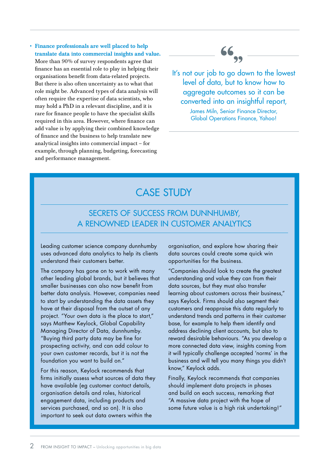• Finance professionals are well placed to help translate data into commercial insights and value. More than 90% of survey respondents agree that finance has an essential role to play in helping their organisations benefit from data-related projects. But there is also often uncertainty as to what that role might be. Advanced types of data analysis will often require the expertise of data scientists, who may hold a PhD in a relevant discipline, and it is rare for finance people to have the specialist skills required in this area. However, where finance can add value is by applying their combined knowledge of finance and the business to help translate new analytical insights into commercial impact – for example, through planning, budgeting, forecasting and performance management.



It's not our job to go down to the lowest level of data, but to know how to aggregate outcomes so it can be converted into an insightful report,

> James Miln, Senior Finance Director, Global Operations Finance, Yahoo!

## CASE STUDY

### Secrets of success from dunnhumby, a renowned leader in customer analytics

Leading customer science company dunnhumby uses advanced data analytics to help its clients understand their customers better.

The company has gone on to work with many other leading global brands, but it believes that smaller businesses can also now benefit from better data analysis. However, companies need to start by understanding the data assets they have at their disposal from the outset of any project. "Your own data is the place to start," says Matthew Keylock, Global Capability Managing Director of Data, dunnhumby. "Buying third party data may be fine for prospecting activity, and can add colour to your own customer records, but it is not the foundation you want to build on."

For this reason, Keylock recommends that firms initially assess what sources of data they have available (eg customer contact details, organisation details and roles, historical engagement data, including products and services purchased, and so on). It is also important to seek out data owners within the

organisation, and explore how sharing their data sources could create some quick win opportunities for the business.

"Companies should look to create the greatest understanding and value they can from their data sources, but they must also transfer learning about customers across their business," says Keylock. Firms should also segment their customers and reappraise this data regularly to understand trends and patterns in their customer base, for example to help them identify and address declining client accounts, but also to reward desirable behaviours. "As you develop a more connected data view, insights coming from it will typically challenge accepted 'norms' in the business and will tell you many things you didn't know," Keylock adds.

Finally, Keylock recommends that companies should implement data projects in phases and build on each success, remarking that "A massive data project with the hope of some future value is a high risk undertaking!"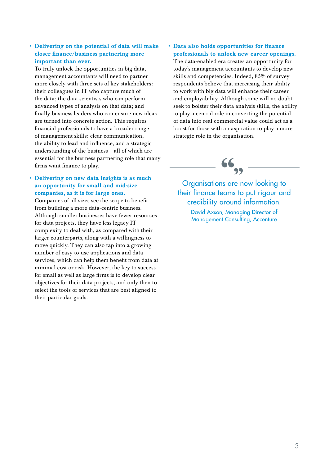### • Delivering on the potential of data will make closer finance/business partnering more important than ever.

To truly unlock the opportunities in big data, management accountants will need to partner more closely with three sets of key stakeholders: their colleagues in IT who capture much of the data; the data scientists who can perform advanced types of analysis on that data; and finally business leaders who can ensure new ideas are turned into concrete action. This requires financial professionals to have a broader range of management skills: clear communication, the ability to lead and influence, and a strategic understanding of the business – all of which are essential for the business partnering role that many firms want finance to play.

### • Delivering on new data insights is as much an opportunity for small and mid-size companies, as it is for large ones.

Companies of all sizes see the scope to benefit from building a more data-centric business. Although smaller businesses have fewer resources for data projects, they have less legacy IT complexity to deal with, as compared with their larger counterparts, along with a willingness to move quickly. They can also tap into a growing number of easy-to-use applications and data services, which can help them benefit from data at minimal cost or risk. However, the key to success for small as well as large firms is to develop clear objectives for their data projects, and only then to select the tools or services that are best aligned to their particular goals.

### • Data also holds opportunities for finance professionals to unlock new career openings.

The data-enabled era creates an opportunity for today's management accountants to develop new skills and competencies. Indeed, 85% of survey respondents believe that increasing their ability to work with big data will enhance their career and employability. Although some will no doubt seek to bolster their data analysis skills, the ability to play a central role in converting the potential of data into real commercial value could act as a boost for those with an aspiration to play a more strategic role in the organisation.



Organisations are now looking to their finance teams to put rigour and credibility around information.

> David Axson, Managing Director of **Management Consulting, Accenture**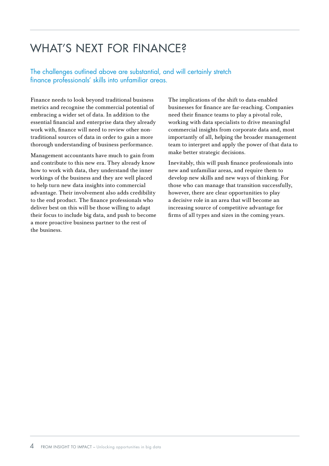# WHAT'S NEXT FOR FINANCE?

The challenges outlined above are substantial, and will certainly stretch finance professionals' skills into unfamiliar areas.

Finance needs to look beyond traditional business metrics and recognise the commercial potential of embracing a wider set of data. In addition to the essential financial and enterprise data they already work with, finance will need to review other nontraditional sources of data in order to gain a more thorough understanding of business performance.

Management accountants have much to gain from and contribute to this new era. They already know how to work with data, they understand the inner workings of the business and they are well placed to help turn new data insights into commercial advantage. Their involvement also adds credibility to the end product. The finance professionals who deliver best on this will be those willing to adapt their focus to include big data, and push to become a more proactive business partner to the rest of the business.

The implications of the shift to data-enabled businesses for finance are far-reaching. Companies need their finance teams to play a pivotal role, working with data specialists to drive meaningful commercial insights from corporate data and, most importantly of all, helping the broader management team to interpret and apply the power of that data to make better strategic decisions.

Inevitably, this will push finance professionals into new and unfamiliar areas, and require them to develop new skills and new ways of thinking. For those who can manage that transition successfully, however, there are clear opportunities to play a decisive role in an area that will become an increasing source of competitive advantage for firms of all types and sizes in the coming years.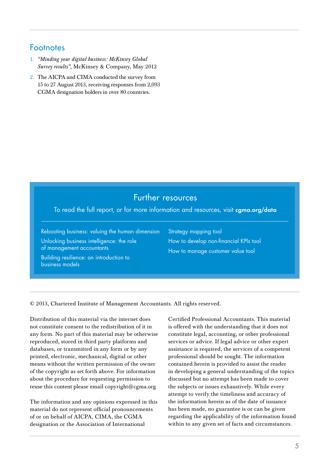### **Footnotes**

- 1. *"Minding your digital business: McKinsey Global Survey results"*, McKinsey & Company, May 2012
- 2. The AICPA and CIMA conducted the survey from 15 to 27 August 2013, receiving responses from 2,093 CGMA designation holders in over 80 countries.

### Further resources

To read the full report, or for more information and resources, visit **[cgma.org/data](http://www.cgma.org/Pages/default.aspx)**

[Rebooting business: valuing the human dimension](http://www.cgma.org/resources/reports/pages/rebooting-business.aspx)

[Unlocking business intelligence: the role](http://www.cgma.org/development/courses/pages/unlocking-business-intelligence.aspx)  [of management accountants](http://www.cgma.org/development/courses/pages/unlocking-business-intelligence.aspx)

[Building resilience: an introduction to](http://www.cgma.org/Resources/Reports/Pages/building-resilience-an-introduction-to-business-models.aspx)  [business models](http://www.cgma.org/Resources/Reports/Pages/building-resilience-an-introduction-to-business-models.aspx)

[Strategy mapping tool](http://www.cgma.org/Resources/Tools/Pages/strategy-mapping-tool.aspx) [How to develop non-financial KPIs tool](http://www.cgma.org/Resources/Tools/Pages/develop-non-financial-kpis.aspx) [How to manage customer value tool](http://www.cgma.org/Resources/Tools/Pages/how-to-manage-customer-value.aspx)

© 2013, Chartered Institute of Management Accountants. All rights reserved.

Distribution of this material via the internet does not constitute consent to the redistribution of it in any form. No part of this material may be otherwise reproduced, stored in third party platforms and databases, or transmitted in any form or by any printed, electronic, mechanical, digital or other means without the written permission of the owner of the copyright as set forth above. For information about the procedure for requesting permission to reuse this content please email copyright@cgma.org

The information and any opinions expressed in this material do not represent official pronouncements of or on behalf of AICPA, CIMA, the CGMA designation or the Association of International

Certified Professional Accountants. This material is offered with the understanding that it does not constitute legal, accounting, or other professional services or advice. If legal advice or other expert assistance is required, the services of a competent professional should be sought. The information contained herein is provided to assist the reader in developing a general understanding of the topics discussed but no attempt has been made to cover the subjects or issues exhaustively. While every attempt to verify the timeliness and accuracy of the information herein as of the date of issuance has been made, no guarantee is or can be given regarding the applicability of the information found within to any given set of facts and circumstances.